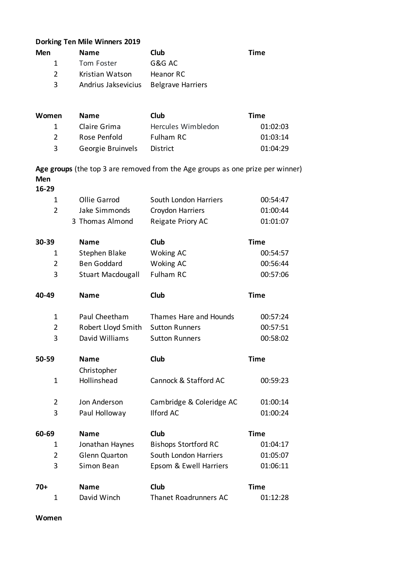## **Dorking Ten Mile Winners 2019**

| Men          | <b>Name</b>                           | Club      | Time |
|--------------|---------------------------------------|-----------|------|
| $\mathbf{1}$ | Tom Foster                            | G&G AC    |      |
|              | Kristian Watson                       | Heanor RC |      |
| 3.           | Andrius Jaksevicius Belgrave Harriers |           |      |

| Women         | <b>Name</b>       | Club               | Time     |
|---------------|-------------------|--------------------|----------|
| $\mathbf{1}$  | Claire Grima      | Hercules Wimbledon | 01:02:03 |
| $\mathcal{P}$ | Rose Penfold      | <b>Fulham RC</b>   | 01:03:14 |
| 3             | Georgie Bruinvels | District           | 01:04:29 |

**Age groups** (the top 3 are removed from the Age groups as one prize per winner) **Men**

## **16-29**

| $\mathbf 1$    | <b>Ollie Garrod</b>      | South London Harriers       | 00:54:47    |
|----------------|--------------------------|-----------------------------|-------------|
| $\overline{2}$ | Jake Simmonds            | Croydon Harriers            | 01:00:44    |
|                | 3 Thomas Almond          | Reigate Priory AC           | 01:01:07    |
| 30-39          | <b>Name</b>              | <b>Club</b>                 | <b>Time</b> |
| 1              | Stephen Blake            | <b>Woking AC</b>            | 00:54:57    |
| $\overline{2}$ | <b>Ben Goddard</b>       | <b>Woking AC</b>            | 00:56:44    |
| 3              | <b>Stuart Macdougall</b> | <b>Fulham RC</b>            | 00:57:06    |
| 40-49          | <b>Name</b>              | Club                        | <b>Time</b> |
| $\mathbf 1$    | Paul Cheetham            | Thames Hare and Hounds      | 00:57:24    |
| $\overline{2}$ | Robert Lloyd Smith       | <b>Sutton Runners</b>       | 00:57:51    |
| 3              | David Williams           | <b>Sutton Runners</b>       | 00:58:02    |
|                |                          |                             |             |
| 50-59          | <b>Name</b>              | Club                        | <b>Time</b> |
|                | Christopher              |                             |             |
| $\mathbf{1}$   | Hollinshead              | Cannock & Stafford AC       | 00:59:23    |
| $\overline{2}$ | Jon Anderson             | Cambridge & Coleridge AC    | 01:00:14    |
| 3              | Paul Holloway            | <b>Ilford AC</b>            | 01:00:24    |
| 60-69          | <b>Name</b>              | Club                        | <b>Time</b> |
| 1              | Jonathan Haynes          | <b>Bishops Stortford RC</b> | 01:04:17    |
| 2              | <b>Glenn Quarton</b>     | South London Harriers       | 01:05:07    |
| 3              | Simon Bean               | Epsom & Ewell Harriers      | 01:06:11    |
| 70+            | <b>Name</b>              | Club                        | <b>Time</b> |

**Women**